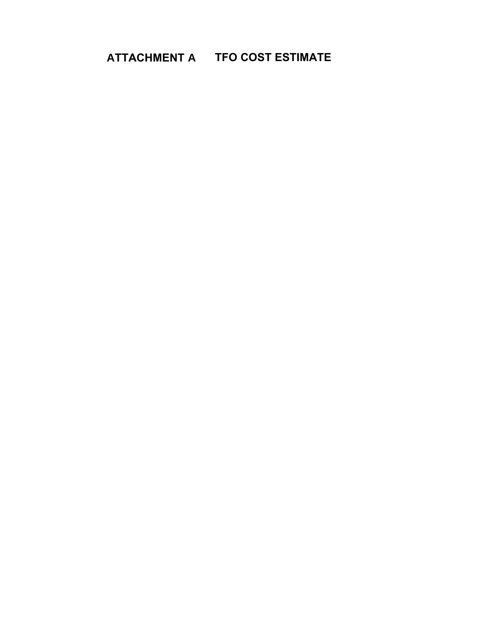**ATTACHMENT A TFO COST ESTIMATE**